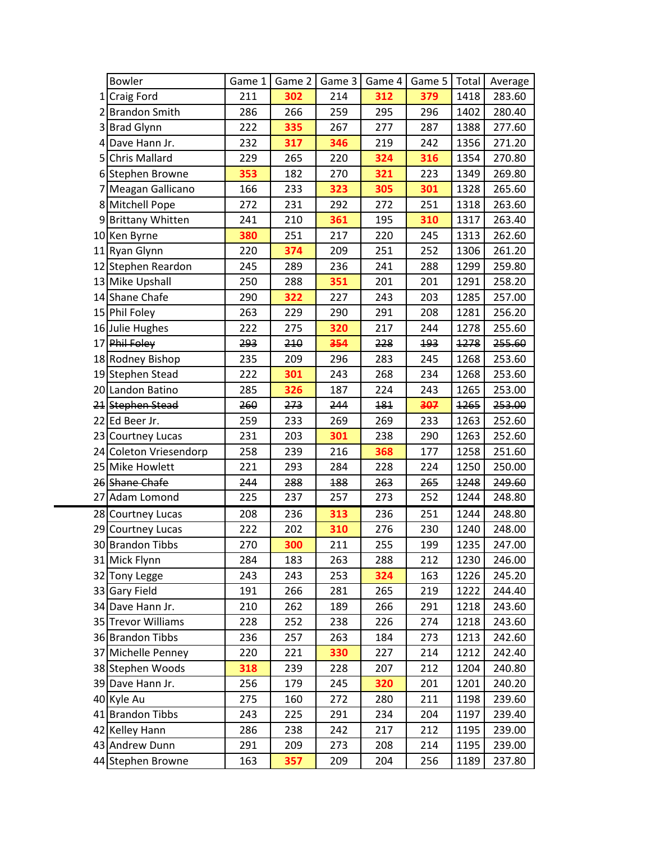| <b>Bowler</b>          | Game 1 | Game 2 | Game 3 | Game 4 | Game 5 | Total | Average |
|------------------------|--------|--------|--------|--------|--------|-------|---------|
| 1 Craig Ford           | 211    | 302    | 214    | 312    | 379    | 1418  | 283.60  |
| 2 Brandon Smith        | 286    | 266    | 259    | 295    | 296    | 1402  | 280.40  |
| 3 Brad Glynn           | 222    | 335    | 267    | 277    | 287    | 1388  | 277.60  |
| 4 Dave Hann Jr.        | 232    | 317    | 346    | 219    | 242    | 1356  | 271.20  |
| 5 Chris Mallard        | 229    | 265    | 220    | 324    | 316    | 1354  | 270.80  |
| 6 Stephen Browne       | 353    | 182    | 270    | 321    | 223    | 1349  | 269.80  |
| 7 Meagan Gallicano     | 166    | 233    | 323    | 305    | 301    | 1328  | 265.60  |
| 8 Mitchell Pope        | 272    | 231    | 292    | 272    | 251    | 1318  | 263.60  |
| 9 Brittany Whitten     | 241    | 210    | 361    | 195    | 310    | 1317  | 263.40  |
| 10 Ken Byrne           | 380    | 251    | 217    | 220    | 245    | 1313  | 262.60  |
| 11 Ryan Glynn          | 220    | 374    | 209    | 251    | 252    | 1306  | 261.20  |
| 12 Stephen Reardon     | 245    | 289    | 236    | 241    | 288    | 1299  | 259.80  |
| 13 Mike Upshall        | 250    | 288    | 351    | 201    | 201    | 1291  | 258.20  |
| 14 Shane Chafe         | 290    | 322    | 227    | 243    | 203    | 1285  | 257.00  |
| 15 Phil Foley          | 263    | 229    | 290    | 291    | 208    | 1281  | 256.20  |
| 16 Julie Hughes        | 222    | 275    | 320    | 217    | 244    | 1278  | 255.60  |
| 17 Phil Foley          | 293    | 210    | 354    | 228    | 193    | 1278  | 255.60  |
| 18 Rodney Bishop       | 235    | 209    | 296    | 283    | 245    | 1268  | 253.60  |
| 19 Stephen Stead       | 222    | 301    | 243    | 268    | 234    | 1268  | 253.60  |
| 20 Landon Batino       | 285    | 326    | 187    | 224    | 243    | 1265  | 253.00  |
| 21 Stephen Stead       | 260    | 273    | 244    | 181    | 307    | 1265  | 253.00  |
| 22 Ed Beer Jr.         | 259    | 233    | 269    | 269    | 233    | 1263  | 252.60  |
| 23 Courtney Lucas      | 231    | 203    | 301    | 238    | 290    | 1263  | 252.60  |
| 24 Coleton Vriesendorp | 258    | 239    | 216    | 368    | 177    | 1258  | 251.60  |
| 25 Mike Howlett        | 221    | 293    | 284    | 228    | 224    | 1250  | 250.00  |
| 26 Shane Chafe         | 244    | 288    | 188    | 263    | 265    | 1248  | 249.60  |
| 27 Adam Lomond         | 225    | 237    | 257    | 273    | 252    | 1244  | 248.80  |
| 28 Courtney Lucas      | 208    | 236    | 313    | 236    | 251    | 1244  | 248.80  |
| 29 Courtney Lucas      | 222    | 202    | 310    | 276    | 230    | 1240  | 248.00  |
| 30 Brandon Tibbs       | 270    | 300    | 211    | 255    | 199    | 1235  | 247.00  |
| 31 Mick Flynn          | 284    | 183    | 263    | 288    | 212    | 1230  | 246.00  |
| 32 Tony Legge          | 243    | 243    | 253    | 324    | 163    | 1226  | 245.20  |
| 33 Gary Field          | 191    | 266    | 281    | 265    | 219    | 1222  | 244.40  |
| 34 Dave Hann Jr.       | 210    | 262    | 189    | 266    | 291    | 1218  | 243.60  |
| 35 Trevor Williams     | 228    | 252    | 238    | 226    | 274    | 1218  | 243.60  |
| 36 Brandon Tibbs       | 236    | 257    | 263    | 184    | 273    | 1213  | 242.60  |
| 37 Michelle Penney     | 220    | 221    | 330    | 227    | 214    | 1212  | 242.40  |
| 38 Stephen Woods       | 318    | 239    | 228    | 207    | 212    | 1204  | 240.80  |
| 39 Dave Hann Jr.       | 256    | 179    | 245    | 320    | 201    | 1201  | 240.20  |
| 40 Kyle Au             | 275    | 160    | 272    | 280    | 211    | 1198  | 239.60  |
| 41 Brandon Tibbs       | 243    | 225    | 291    | 234    | 204    | 1197  | 239.40  |
| 42 Kelley Hann         | 286    | 238    | 242    | 217    | 212    | 1195  | 239.00  |
| 43 Andrew Dunn         | 291    | 209    | 273    | 208    | 214    | 1195  | 239.00  |
| 44 Stephen Browne      | 163    | 357    | 209    | 204    | 256    | 1189  | 237.80  |